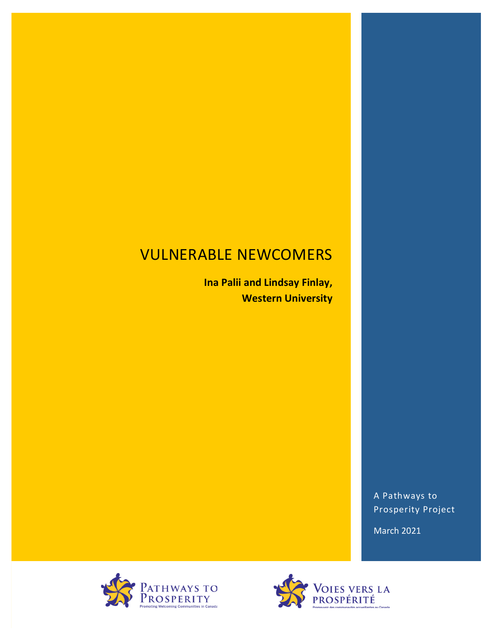# **VULNERABLE NEWCOMERS**

**Ina Palii and Lindsay Finlay, Western University** 

> A Pathways to Prosperity Project

March 2021



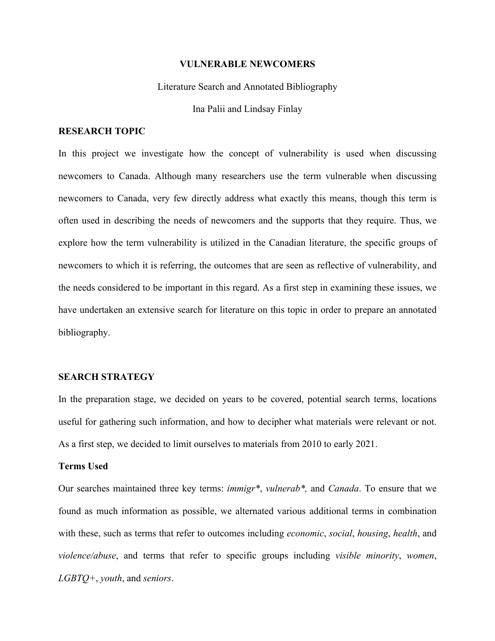#### **VULNERABLE NEWCOMERS**

## Literature Search and Annotated Bibliography

Ina Palii and Lindsay Finlay

# **RESEARCH TOPIC**

In this project we investigate how the concept of vulnerability is used when discussing newcomers to Canada. Although many researchers use the term vulnerable when discussing newcomers to Canada, very few directly address what exactly this means, though this term is often used in describing the needs of newcomers and the supports that they require. Thus, we explore how the term vulnerability is utilized in the Canadian literature, the specific groups of newcomers to which it is referring, the outcomes that are seen as reflective of vulnerability, and the needs considered to be important in this regard. As a first step in examining these issues, we have undertaken an extensive search for literature on this topic in order to prepare an annotated bibliography.

# **SEARCH STRATEGY**

In the preparation stage, we decided on years to be covered, potential search terms, locations useful for gathering such information, and how to decipher what materials were relevant or not. As a first step, we decided to limit ourselves to materials from 2010 to early 2021.

#### **Terms Used**

Our searches maintained three key terms: *immigr\**, *vulnerab\*,* and *Canada*. To ensure that we found as much information as possible, we alternated various additional terms in combination with these, such as terms that refer to outcomes including *economic*, *social*, *housing*, *health*, and *violence/abuse*, and terms that refer to specific groups including *visible minority*, *women*, *LGBTQ+*, *youth*, and *seniors*.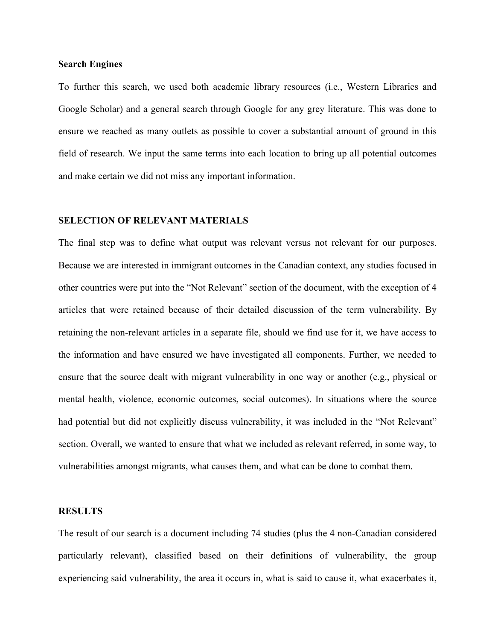# **Search Engines**

To further this search, we used both academic library resources (i.e., Western Libraries and Google Scholar) and a general search through Google for any grey literature. This was done to ensure we reached as many outlets as possible to cover a substantial amount of ground in this field of research. We input the same terms into each location to bring up all potential outcomes and make certain we did not miss any important information.

# **SELECTION OF RELEVANT MATERIALS**

The final step was to define what output was relevant versus not relevant for our purposes. Because we are interested in immigrant outcomes in the Canadian context, any studies focused in other countries were put into the "Not Relevant" section of the document, with the exception of 4 articles that were retained because of their detailed discussion of the term vulnerability. By retaining the non-relevant articles in a separate file, should we find use for it, we have access to the information and have ensured we have investigated all components. Further, we needed to ensure that the source dealt with migrant vulnerability in one way or another (e.g., physical or mental health, violence, economic outcomes, social outcomes). In situations where the source had potential but did not explicitly discuss vulnerability, it was included in the "Not Relevant" section. Overall, we wanted to ensure that what we included as relevant referred, in some way, to vulnerabilities amongst migrants, what causes them, and what can be done to combat them.

# **RESULTS**

The result of our search is a document including 74 studies (plus the 4 non-Canadian considered particularly relevant), classified based on their definitions of vulnerability, the group experiencing said vulnerability, the area it occurs in, what is said to cause it, what exacerbates it,